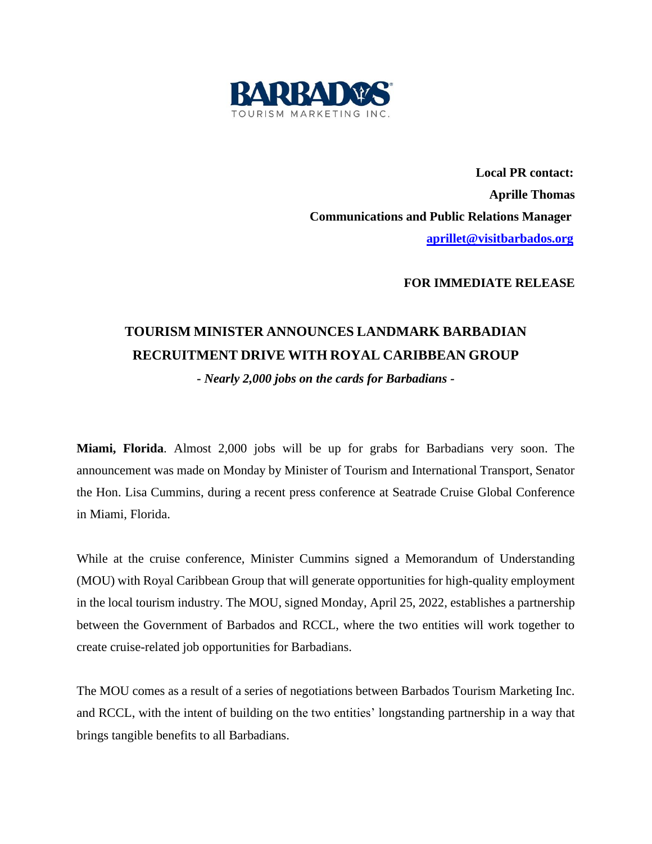

 **Local PR contact: Aprille Thomas Communications and Public Relations Manager [aprillet@visitbarbados.org](mailto:aprillet@visitbarbados.org)**

**FOR IMMEDIATE RELEASE**

## **TOURISM MINISTER ANNOUNCES LANDMARK BARBADIAN RECRUITMENT DRIVE WITH ROYAL CARIBBEAN GROUP**

*- Nearly 2,000 jobs on the cards for Barbadians -*

**Miami, Florida**. Almost 2,000 jobs will be up for grabs for Barbadians very soon. The announcement was made on Monday by Minister of Tourism and International Transport, Senator the Hon. Lisa Cummins, during a recent press conference at Seatrade Cruise Global Conference in Miami, Florida.

While at the cruise conference, Minister Cummins signed a Memorandum of Understanding (MOU) with Royal Caribbean Group that will generate opportunities for high-quality employment in the local tourism industry. The MOU, signed Monday, April 25, 2022, establishes a partnership between the Government of Barbados and RCCL, where the two entities will work together to create cruise-related job opportunities for Barbadians.

The MOU comes as a result of a series of negotiations between Barbados Tourism Marketing Inc. and RCCL, with the intent of building on the two entities' longstanding partnership in a way that brings tangible benefits to all Barbadians.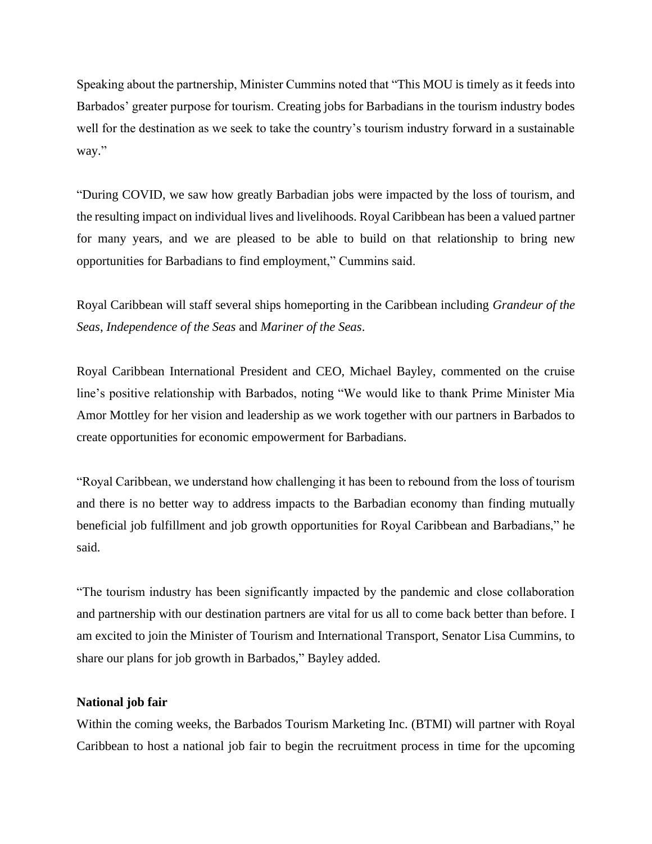Speaking about the partnership, Minister Cummins noted that "This MOU is timely as it feeds into Barbados' greater purpose for tourism. Creating jobs for Barbadians in the tourism industry bodes well for the destination as we seek to take the country's tourism industry forward in a sustainable way."

"During COVID, we saw how greatly Barbadian jobs were impacted by the loss of tourism, and the resulting impact on individual lives and livelihoods. Royal Caribbean has been a valued partner for many years, and we are pleased to be able to build on that relationship to bring new opportunities for Barbadians to find employment," Cummins said.

Royal Caribbean will staff several ships homeporting in the Caribbean including *Grandeur of the Seas*, *Independence of the Seas* and *Mariner of the Seas*.

Royal Caribbean International President and CEO, Michael Bayley, commented on the cruise line's positive relationship with Barbados, noting "We would like to thank Prime Minister Mia Amor Mottley for her vision and leadership as we work together with our partners in Barbados to create opportunities for economic empowerment for Barbadians.

"Royal Caribbean, we understand how challenging it has been to rebound from the loss of tourism and there is no better way to address impacts to the Barbadian economy than finding mutually beneficial job fulfillment and job growth opportunities for Royal Caribbean and Barbadians," he said.

"The tourism industry has been significantly impacted by the pandemic and close collaboration and partnership with our destination partners are vital for us all to come back better than before. I am excited to join the Minister of Tourism and International Transport, Senator Lisa Cummins, to share our plans for job growth in Barbados," Bayley added.

## **National job fair**

Within the coming weeks, the Barbados Tourism Marketing Inc. (BTMI) will partner with Royal Caribbean to host a national job fair to begin the recruitment process in time for the upcoming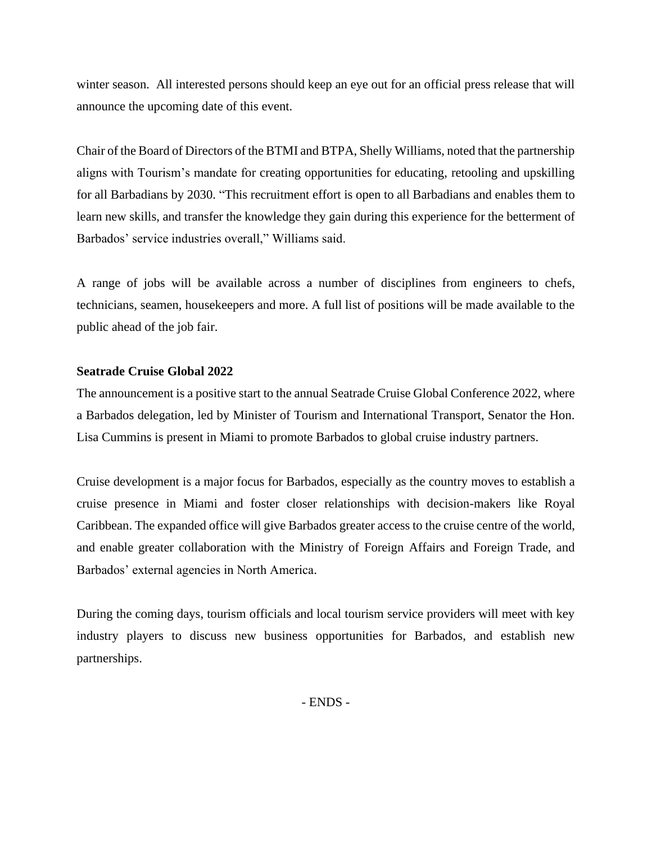winter season. All interested persons should keep an eye out for an official press release that will announce the upcoming date of this event.

Chair of the Board of Directors of the BTMI and BTPA, Shelly Williams, noted that the partnership aligns with Tourism's mandate for creating opportunities for educating, retooling and upskilling for all Barbadians by 2030. "This recruitment effort is open to all Barbadians and enables them to learn new skills, and transfer the knowledge they gain during this experience for the betterment of Barbados' service industries overall," Williams said.

A range of jobs will be available across a number of disciplines from engineers to chefs, technicians, seamen, housekeepers and more. A full list of positions will be made available to the public ahead of the job fair.

## **Seatrade Cruise Global 2022**

The announcement is a positive start to the annual Seatrade Cruise Global Conference 2022, where a Barbados delegation, led by Minister of Tourism and International Transport, Senator the Hon. Lisa Cummins is present in Miami to promote Barbados to global cruise industry partners.

Cruise development is a major focus for Barbados, especially as the country moves to establish a cruise presence in Miami and foster closer relationships with decision-makers like Royal Caribbean. The expanded office will give Barbados greater access to the cruise centre of the world, and enable greater collaboration with the Ministry of Foreign Affairs and Foreign Trade, and Barbados' external agencies in North America.

During the coming days, tourism officials and local tourism service providers will meet with key industry players to discuss new business opportunities for Barbados, and establish new partnerships.

- ENDS -